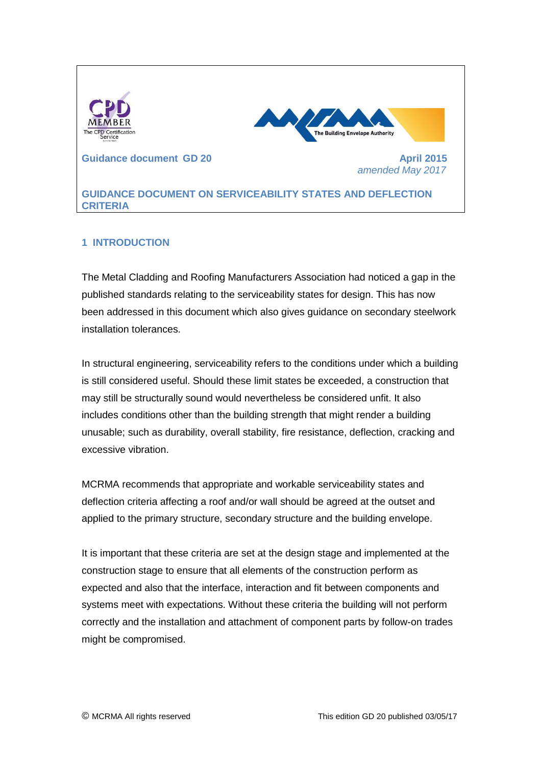

# **1 INTRODUCTION**

The Metal Cladding and Roofing Manufacturers Association had noticed a gap in the published standards relating to the serviceability states for design. This has now been addressed in this document which also gives guidance on secondary steelwork installation tolerances.

In structural engineering, serviceability refers to the conditions under which a building is still considered useful. Should these [limit states](http://en.wikipedia.org/wiki/Limit_state_design) be exceeded, a construction that may still be structurally sound would nevertheless be considered unfit. It also includes conditions other than the building strength that might render a building unusable; such as durability, overall stability, fire resistance, deflection, cracking and excessive vibration.

MCRMA recommends that appropriate and workable serviceability states and deflection criteria affecting a roof and/or wall should be agreed at the outset and applied to the primary structure, secondary structure and the building envelope.

It is important that these criteria are set at the design stage and implemented at the construction stage to ensure that all elements of the construction perform as expected and also that the interface, interaction and fit between components and systems meet with expectations. Without these criteria the building will not perform correctly and the installation and attachment of component parts by follow-on trades might be compromised.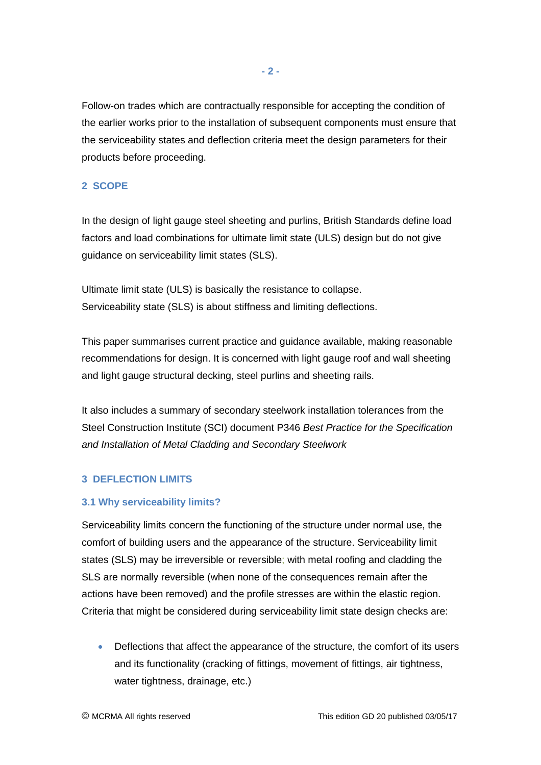Follow-on trades which are contractually responsible for accepting the condition of the earlier works prior to the installation of subsequent components must ensure that the serviceability states and deflection criteria meet the design parameters for their products before proceeding.

## **2 SCOPE**

In the design of light gauge steel sheeting and purlins, British Standards define load factors and load combinations for ultimate limit state (ULS) design but do not give guidance on serviceability limit states (SLS).

Ultimate limit state (ULS) is basically the resistance to collapse. Serviceability state (SLS) is about stiffness and limiting deflections.

This paper summarises current practice and guidance available, making reasonable recommendations for design. It is concerned with light gauge roof and wall sheeting and light gauge structural decking, steel purlins and sheeting rails.

It also includes a summary of secondary steelwork installation tolerances from the Steel Construction Institute (SCI) document P346 *Best Practice for the Specification and Installation of Metal Cladding and Secondary Steelwork*

# **3 DEFLECTION LIMITS**

## **3.1 Why serviceability limits?**

Serviceability limits concern the functioning of the structure under normal use, the comfort of building users and the appearance of the structure. Serviceability limit states (SLS) may be irreversible or reversible; with metal roofing and cladding the SLS are normally reversible (when none of the consequences remain after the actions have been removed) and the profile stresses are within the elastic region. Criteria that might be considered during serviceability limit state design checks are:

• Deflections that affect the appearance of the structure, the comfort of its users and its functionality (cracking of fittings, movement of fittings, air tightness, water tightness, drainage, etc.)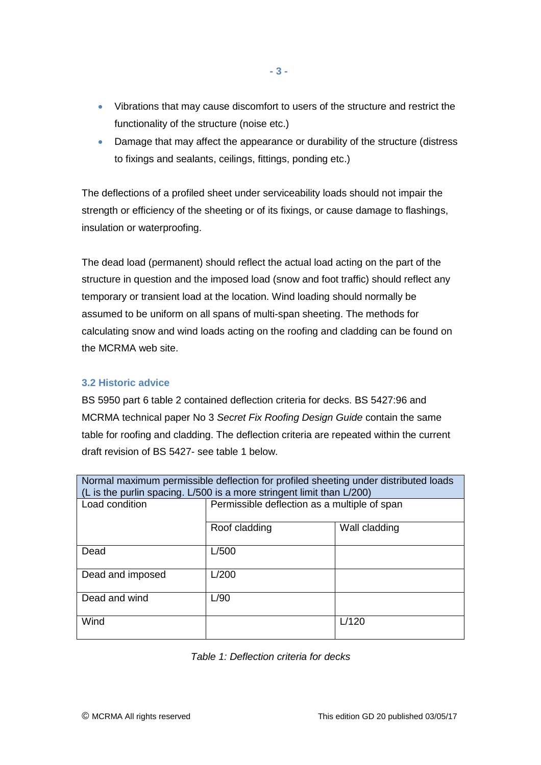- Vibrations that may cause discomfort to users of the structure and restrict the functionality of the structure (noise etc.)
- Damage that may affect the appearance or durability of the structure (distress to fixings and sealants, ceilings, fittings, ponding etc.)

The deflections of a profiled sheet under serviceability loads should not impair the strength or efficiency of the sheeting or of its fixings, or cause damage to flashings, insulation or waterproofing.

The dead load (permanent) should reflect the actual load acting on the part of the structure in question and the imposed load (snow and foot traffic) should reflect any temporary or transient load at the location. Wind loading should normally be assumed to be uniform on all spans of multi-span sheeting. The methods for calculating snow and wind loads acting on the roofing and cladding can be found on the MCRMA web site.

# **3.2 Historic advice**

BS 5950 part 6 table 2 contained deflection criteria for decks. BS 5427:96 and MCRMA technical paper No 3 *Secret Fix Roofing Design Guide* contain the same table for roofing and cladding. The deflection criteria are repeated within the current draft revision of BS 5427- see table 1 below.

| Normal maximum permissible deflection for profiled sheeting under distributed loads<br>(L is the purlin spacing. L/500 is a more stringent limit than L/200) |                                              |               |  |  |
|--------------------------------------------------------------------------------------------------------------------------------------------------------------|----------------------------------------------|---------------|--|--|
| Load condition                                                                                                                                               | Permissible deflection as a multiple of span |               |  |  |
|                                                                                                                                                              | Roof cladding                                | Wall cladding |  |  |
| Dead                                                                                                                                                         | L/500                                        |               |  |  |
| Dead and imposed                                                                                                                                             | L/200                                        |               |  |  |
| Dead and wind                                                                                                                                                | L/90                                         |               |  |  |
| Wind                                                                                                                                                         |                                              | L/120         |  |  |

*Table 1: Deflection criteria for decks*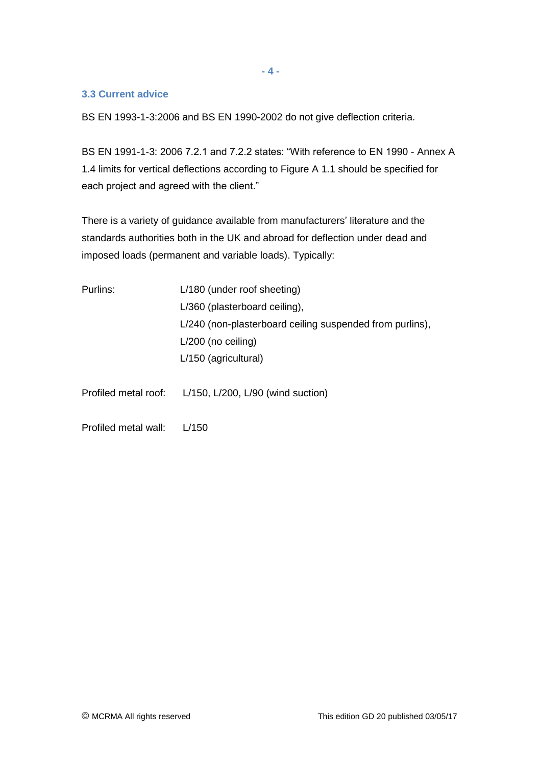**- 4 -**

#### **3.3 Current advice**

BS EN 1993-1-3:2006 and BS EN 1990-2002 do not give deflection criteria.

BS EN 1991-1-3: 2006 7.2.1 and 7.2.2 states: "With reference to EN 1990 - Annex A 1.4 limits for vertical deflections according to Figure A 1.1 should be specified for each project and agreed with the client."

There is a variety of guidance available from manufacturers' literature and the standards authorities both in the UK and abroad for deflection under dead and imposed loads (permanent and variable loads). Typically:

| Purlins:             | L/180 (under roof sheeting)                              |  |
|----------------------|----------------------------------------------------------|--|
|                      | L/360 (plasterboard ceiling),                            |  |
|                      | L/240 (non-plasterboard ceiling suspended from purlins), |  |
|                      | $L/200$ (no ceiling)                                     |  |
|                      | L/150 (agricultural)                                     |  |
|                      |                                                          |  |
| Profiled metal roof: | $L/150$ , $L/200$ , $L/90$ (wind suction)                |  |
|                      |                                                          |  |

Profiled metal wall: L/150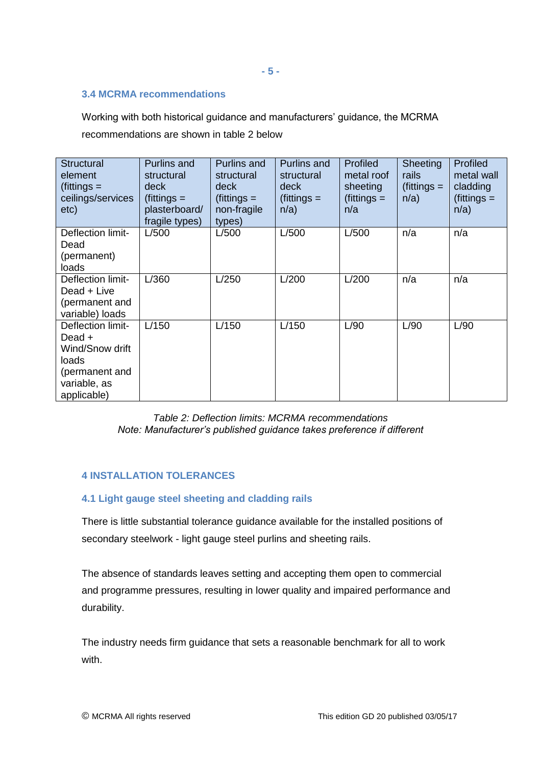#### **- 5 -**

#### **3.4 MCRMA recommendations**

Working with both historical guidance and manufacturers' guidance, the MCRMA recommendations are shown in table 2 below

| <b>Structural</b><br>element<br>$(\text{fittings} =$<br>ceilings/services<br>etc)                        | Purlins and<br>structural<br>deck<br>$(\text{fittings} =$<br>plasterboard/<br>fragile types) | Purlins and<br>structural<br>deck<br>$(\text{fittings} =$<br>non-fragile<br>types) | Purlins and<br>structural<br>deck<br>$(\text{fittings} =$<br>n/a) | <b>Profiled</b><br>metal roof<br>sheeting<br>$(\text{fittings} =$<br>n/a | <b>Sheeting</b><br>rails<br>$\int$ (fittings =<br>n/a) | <b>Profiled</b><br>metal wall<br>cladding<br>$(fittings =$<br>$n/a$ ) |
|----------------------------------------------------------------------------------------------------------|----------------------------------------------------------------------------------------------|------------------------------------------------------------------------------------|-------------------------------------------------------------------|--------------------------------------------------------------------------|--------------------------------------------------------|-----------------------------------------------------------------------|
| Deflection limit-<br>Dead<br>(permanent)<br>loads                                                        | L/500                                                                                        | L/500                                                                              | L/500                                                             | L/500                                                                    | n/a                                                    | n/a                                                                   |
| Deflection limit-<br>Dead + Live<br>(permanent and<br>variable) loads                                    | L/360                                                                                        | L/250                                                                              | L/200                                                             | L/200                                                                    | n/a                                                    | n/a                                                                   |
| Deflection limit-<br>Dead +<br>Wind/Snow drift<br>loads<br>(permanent and<br>variable, as<br>applicable) | L/150                                                                                        | L/150                                                                              | L/150                                                             | L/90                                                                     | L/90                                                   | L/90                                                                  |

# *Table 2: Deflection limits: MCRMA recommendations Note: Manufacturer's published guidance takes preference if different*

# **4 INSTALLATION TOLERANCES**

## **4.1 Light gauge steel sheeting and cladding rails**

There is little substantial tolerance guidance available for the installed positions of secondary steelwork - light gauge steel purlins and sheeting rails.

The absence of standards leaves setting and accepting them open to commercial and programme pressures, resulting in lower quality and impaired performance and durability.

The industry needs firm guidance that sets a reasonable benchmark for all to work with.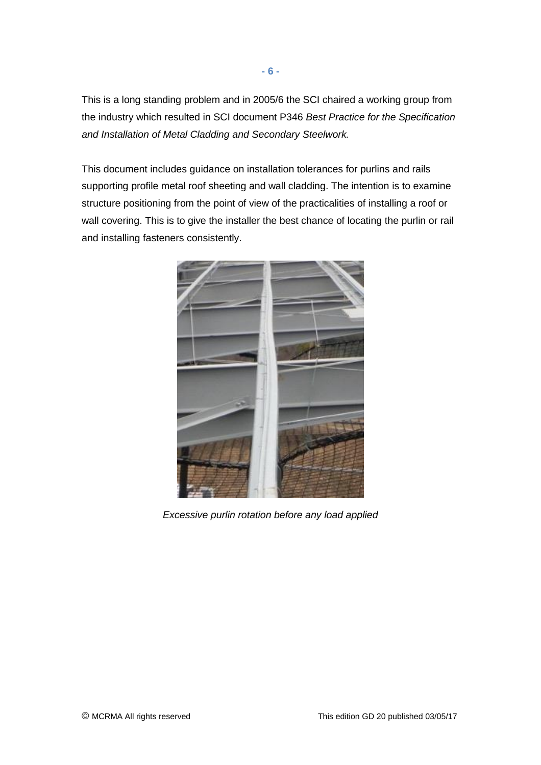This is a long standing problem and in 2005/6 the SCI chaired a working group from the industry which resulted in SCI document P346 *Best Practice for the Specification and Installation of Metal Cladding and Secondary Steelwork.*

This document includes guidance on installation tolerances for purlins and rails supporting profile metal roof sheeting and wall cladding. The intention is to examine structure positioning from the point of view of the practicalities of installing a roof or wall covering. This is to give the installer the best chance of locating the purlin or rail and installing fasteners consistently.



*Excessive purlin rotation before any load applied*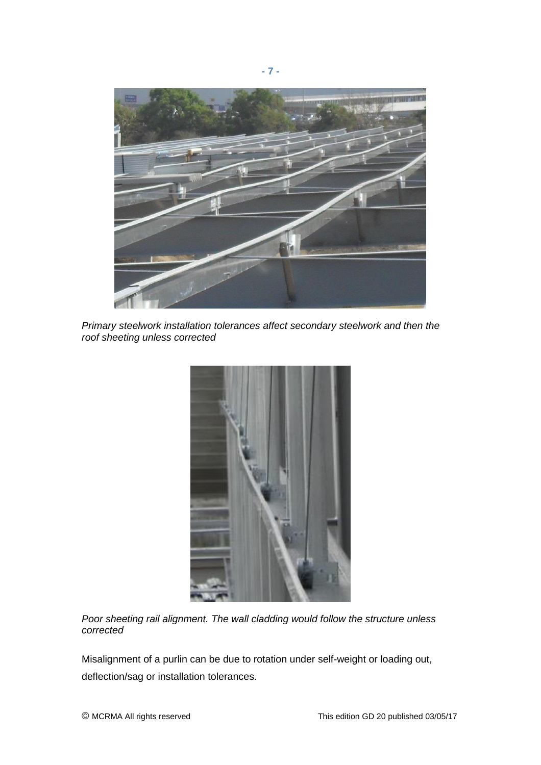

*Primary steelwork installation tolerances affect secondary steelwork and then the roof sheeting unless corrected*



*Poor sheeting rail alignment. The wall cladding would follow the structure unless corrected*

Misalignment of a purlin can be due to rotation under self-weight or loading out, deflection/sag or installation tolerances.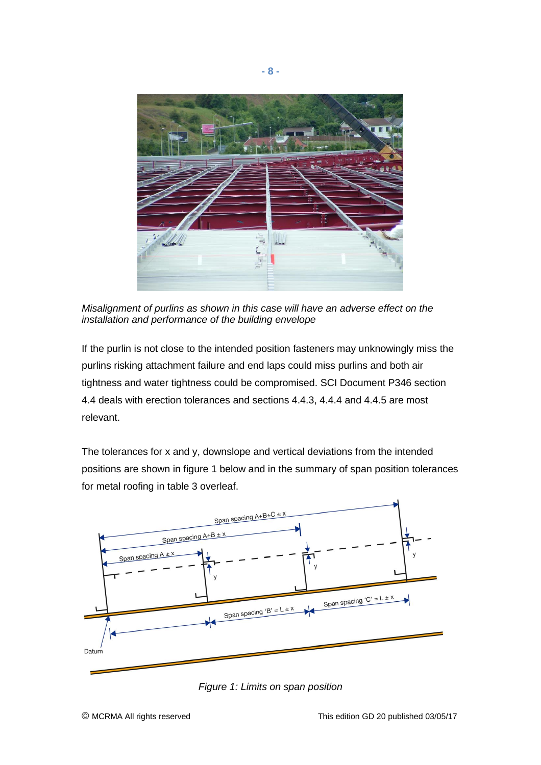

*Misalignment of purlins as shown in this case will have an adverse effect on the installation and performance of the building envelope*

If the purlin is not close to the intended position fasteners may unknowingly miss the purlins risking attachment failure and end laps could miss purlins and both air tightness and water tightness could be compromised. SCI Document P346 section 4.4 deals with erection tolerances and sections 4.4.3, 4.4.4 and 4.4.5 are most relevant.

The tolerances for x and y, downslope and vertical deviations from the intended positions are shown in figure 1 below and in the summary of span position tolerances for metal roofing in table 3 overleaf.



*Figure 1: Limits on span position*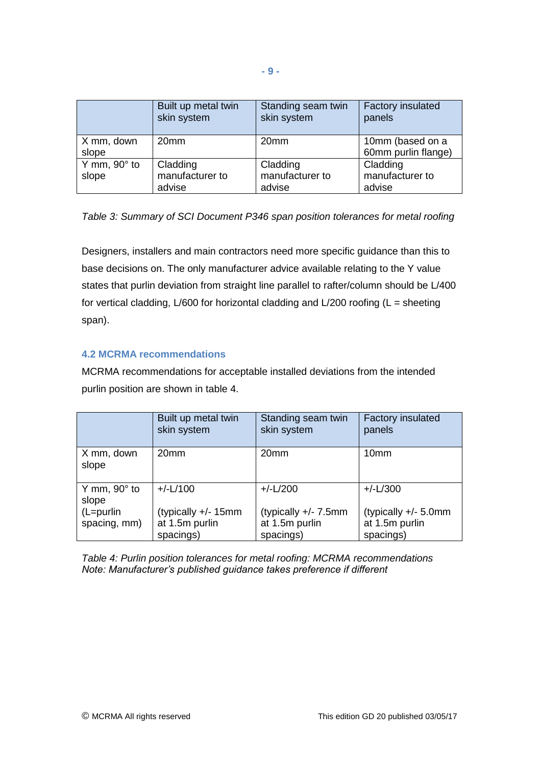|                              | Built up metal twin<br>skin system    | Standing seam twin<br>skin system     | <b>Factory insulated</b><br>panels      |
|------------------------------|---------------------------------------|---------------------------------------|-----------------------------------------|
| X mm, down<br>slope          | 20 <sub>mm</sub>                      | 20 <sub>mm</sub>                      | 10mm (based on a<br>60mm purlin flange) |
| Y mm, $90^\circ$ to<br>slope | Cladding<br>manufacturer to<br>advise | Cladding<br>manufacturer to<br>advise | Cladding<br>manufacturer to<br>advise   |

*Table 3: Summary of SCI Document P346 span position tolerances for metal roofing*

Designers, installers and main contractors need more specific guidance than this to base decisions on. The only manufacturer advice available relating to the Y value states that purlin deviation from straight line parallel to rafter/column should be L/400 for vertical cladding,  $L/600$  for horizontal cladding and  $L/200$  roofing (L = sheeting span).

## **4.2 MCRMA recommendations**

MCRMA recommendations for acceptable installed deviations from the intended purlin position are shown in table 4.

|                              | Built up metal twin<br>skin system | Standing seam twin<br>skin system | <b>Factory insulated</b><br>panels |
|------------------------------|------------------------------------|-----------------------------------|------------------------------------|
| X mm, down<br>slope          | 20 <sub>mm</sub>                   | 20mm                              | 10mm                               |
| Y mm, $90^\circ$ to<br>slope | $+/-L/100$                         | $+/-L/200$                        | $+/-L/300$                         |
| (L=purlin                    | (typically +/- 15mm                | (typically $+/- 7.5$ mm           | (typically $+/- 5.0$ mm            |
| spacing, mm)                 | at 1.5m purlin                     | at 1.5m purlin                    | at 1.5m purlin                     |
|                              | spacings)                          | spacings)                         | spacings)                          |

*Table 4: Purlin position tolerances for metal roofing: MCRMA recommendations Note: Manufacturer's published guidance takes preference if different*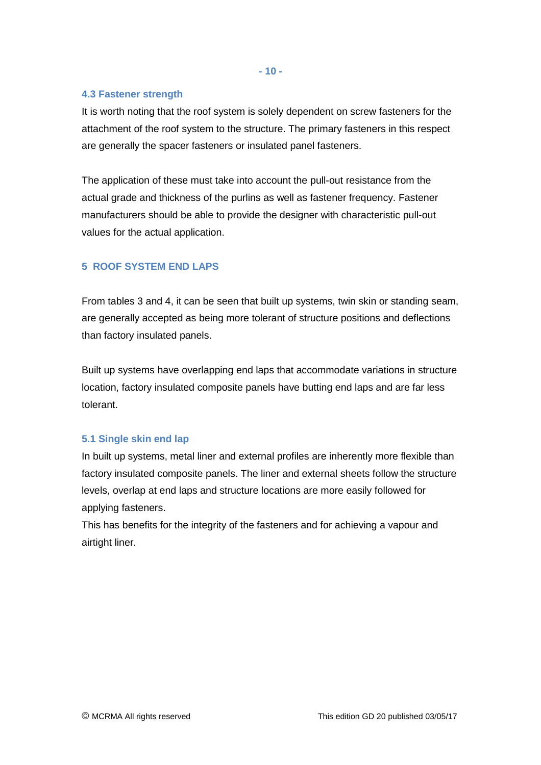**- 10 -**

## **4.3 Fastener strength**

It is worth noting that the roof system is solely dependent on screw fasteners for the attachment of the roof system to the structure. The primary fasteners in this respect are generally the spacer fasteners or insulated panel fasteners.

The application of these must take into account the pull-out resistance from the actual grade and thickness of the purlins as well as fastener frequency. Fastener manufacturers should be able to provide the designer with characteristic pull-out values for the actual application.

# **5 ROOF SYSTEM END LAPS**

From tables 3 and 4, it can be seen that built up systems, twin skin or standing seam, are generally accepted as being more tolerant of structure positions and deflections than factory insulated panels.

Built up systems have overlapping end laps that accommodate variations in structure location, factory insulated composite panels have butting end laps and are far less tolerant.

## **5.1 Single skin end lap**

In built up systems, metal liner and external profiles are inherently more flexible than factory insulated composite panels. The liner and external sheets follow the structure levels, overlap at end laps and structure locations are more easily followed for applying fasteners.

This has benefits for the integrity of the fasteners and for achieving a vapour and airtight liner.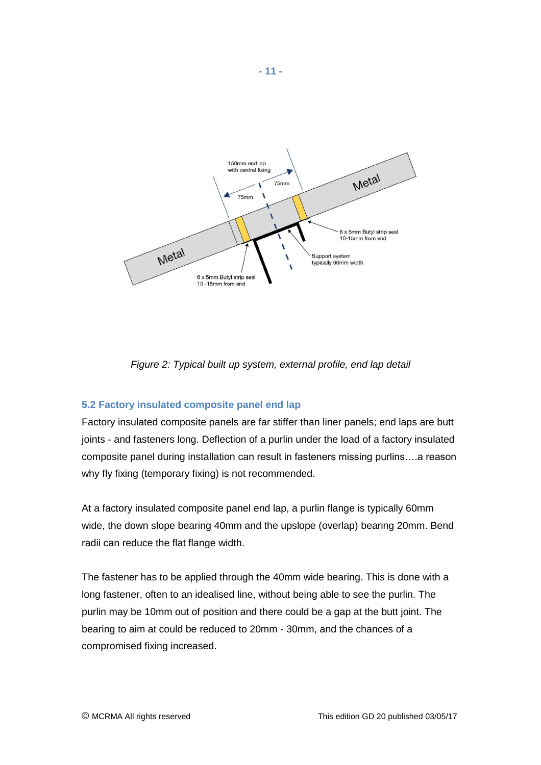

*Figure 2: Typical built up system, external profile, end lap detail*

## **5.2 Factory insulated composite panel end lap**

Factory insulated composite panels are far stiffer than liner panels; end laps are butt joints - and fasteners long. Deflection of a purlin under the load of a factory insulated composite panel during installation can result in fasteners missing purlins….a reason why fly fixing (temporary fixing) is not recommended.

At a factory insulated composite panel end lap, a purlin flange is typically 60mm wide, the down slope bearing 40mm and the upslope (overlap) bearing 20mm. Bend radii can reduce the flat flange width.

The fastener has to be applied through the 40mm wide bearing. This is done with a long fastener, often to an idealised line, without being able to see the purlin. The purlin may be 10mm out of position and there could be a gap at the butt joint. The bearing to aim at could be reduced to 20mm - 30mm, and the chances of a compromised fixing increased.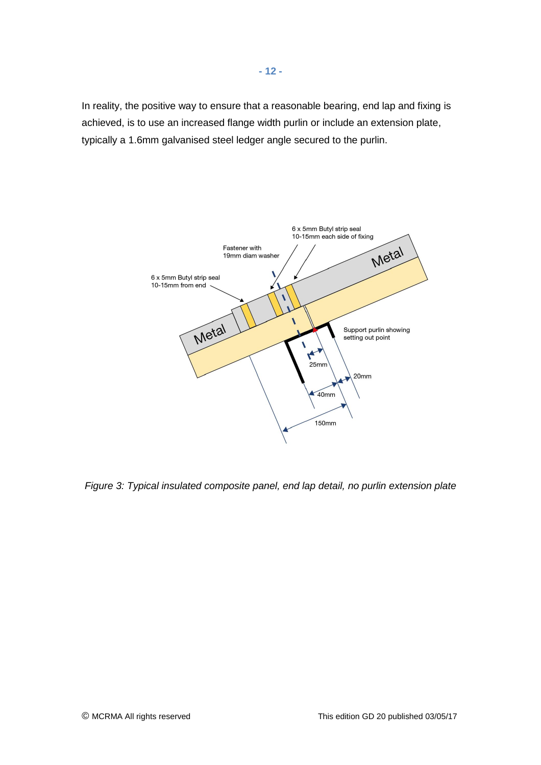In reality, the positive way to ensure that a reasonable bearing, end lap and fixing is achieved, is to use an increased flange width purlin or include an extension plate, typically a 1.6mm galvanised steel ledger angle secured to the purlin.



*Figure 3: Typical insulated composite panel, end lap detail, no purlin extension plate*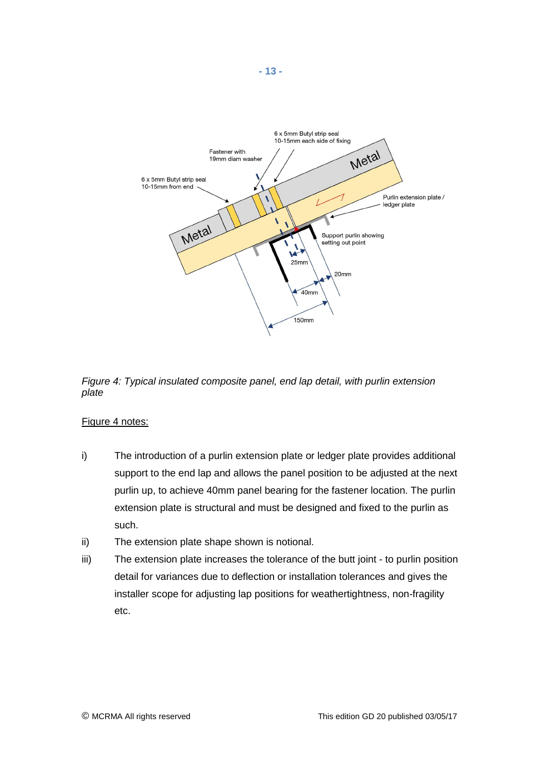

*Figure 4: Typical insulated composite panel, end lap detail, with purlin extension plate*

## Figure 4 notes:

- i) The introduction of a purlin extension plate or ledger plate provides additional support to the end lap and allows the panel position to be adjusted at the next purlin up, to achieve 40mm panel bearing for the fastener location. The purlin extension plate is structural and must be designed and fixed to the purlin as such.
- ii) The extension plate shape shown is notional.
- iii) The extension plate increases the tolerance of the butt joint to purlin position detail for variances due to deflection or installation tolerances and gives the installer scope for adjusting lap positions for weathertightness, non-fragility etc.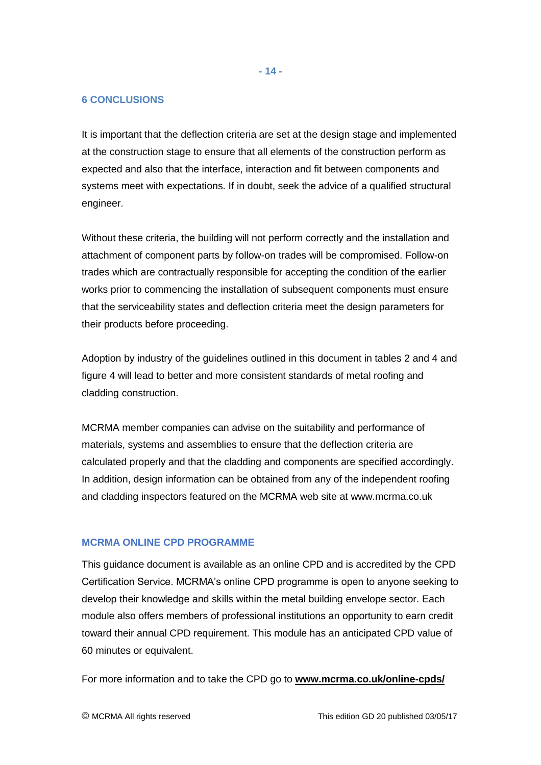#### **6 CONCLUSIONS**

It is important that the deflection criteria are set at the design stage and implemented at the construction stage to ensure that all elements of the construction perform as expected and also that the interface, interaction and fit between components and systems meet with expectations. If in doubt, seek the advice of a qualified structural engineer.

Without these criteria, the building will not perform correctly and the installation and attachment of component parts by follow-on trades will be compromised. Follow-on trades which are contractually responsible for accepting the condition of the earlier works prior to commencing the installation of subsequent components must ensure that the serviceability states and deflection criteria meet the design parameters for their products before proceeding.

Adoption by industry of the guidelines outlined in this document in tables 2 and 4 and figure 4 will lead to better and more consistent standards of metal roofing and cladding construction.

MCRMA member companies can advise on the suitability and performance of materials, systems and assemblies to ensure that the deflection criteria are calculated properly and that the cladding and components are specified accordingly. In addition, design information can be obtained from any of the independent roofing and cladding inspectors featured on the MCRMA web site at www.mcrma.co.uk

## **MCRMA ONLINE CPD PROGRAMME**

This guidance document is available as an online CPD and is accredited by the CPD Certification Service. MCRMA's online CPD programme is open to anyone seeking to develop their knowledge and skills within the metal building envelope sector. Each module also offers members of professional institutions an opportunity to earn credit toward their annual CPD requirement. This module has an anticipated CPD value of 60 minutes or equivalent.

For more information and to take the CPD go to **[www.mcrma.co.uk/online-cpds/](http://www.mcrma.co.uk/online-cpds/)**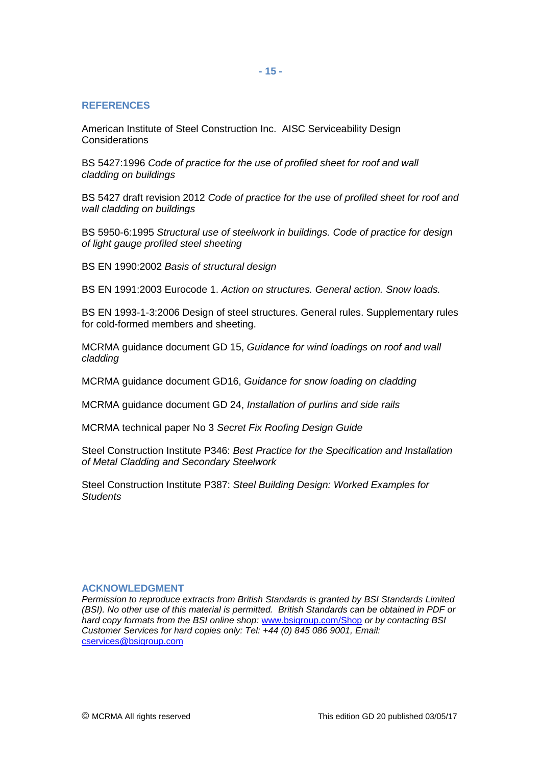#### **REFERENCES**

American Institute of Steel Construction Inc. AISC Serviceability Design Considerations

BS 5427:1996 *Code of practice for the use of profiled sheet for roof and wall cladding on buildings* 

BS 5427 draft revision 2012 *Code of practice for the use of profiled sheet for roof and wall cladding on buildings* 

BS 5950-6:1995 *Structural use of steelwork in buildings. Code of practice for design of light gauge profiled steel sheeting*

BS EN 1990:2002 *Basis of structural design*

BS EN 1991:2003 Eurocode 1. *Action on structures. General action. Snow loads.*

BS EN 1993-1-3:2006 Design of steel structures. General rules. Supplementary rules for cold-formed members and sheeting.

MCRMA guidance document GD 15, *Guidance for wind loadings on roof and wall cladding* 

MCRMA guidance document GD16, *Guidance for snow loading on cladding*

MCRMA guidance document GD 24, *Installation of purlins and side rails* 

MCRMA technical paper No 3 *Secret Fix Roofing Design Guide*

Steel Construction Institute P346: *Best Practice for the Specification and Installation of Metal Cladding and Secondary Steelwork*

Steel Construction Institute P387: *Steel Building Design: Worked Examples for Students*

#### **ACKNOWLEDGMENT**

*Permission to reproduce extracts from British Standards is granted by BSI Standards Limited (BSI). No other use of this material is permitted. British Standards can be obtained in PDF or hard copy formats from the BSI online shop:* [www.bsigroup.com/Shop](http://www.bsigroup.com/Shop) *or by contacting BSI Customer Services for hard copies only: Tel: +44 (0) 845 086 9001, Email:*  [cservices@bsigroup.com](mailto:cservices@bsigroup.com)